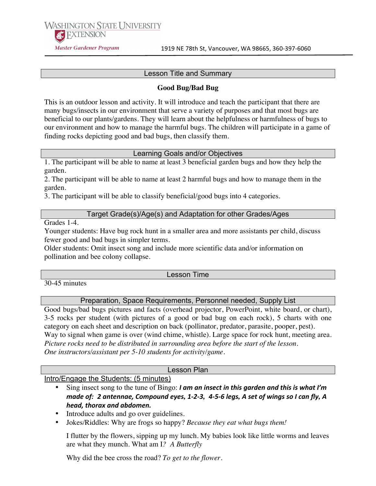**WASHINGTON STATE I INIVERSITY AC EXTENSION Master Gardener Program** 

### Lesson Title and Summary

## **Good Bug/Bad Bug**

This is an outdoor lesson and activity. It will introduce and teach the participant that there are many bugs/insects in our environment that serve a variety of purposes and that most bugs are beneficial to our plants/gardens. They will learn about the helpfulness or harmfulness of bugs to our environment and how to manage the harmful bugs. The children will participate in a game of finding rocks depicting good and bad bugs, then classify them.

## Learning Goals and/or Objectives

1. The participant will be able to name at least 3 beneficial garden bugs and how they help the garden.

2. The participant will be able to name at least 2 harmful bugs and how to manage them in the garden.

3. The participant will be able to classify beneficial/good bugs into 4 categories.

## Target Grade(s)/Age(s) and Adaptation for other Grades/Ages

Grades 1-4.

Younger students: Have bug rock hunt in a smaller area and more assistants per child, discuss fewer good and bad bugs in simpler terms.

Older students: Omit insect song and include more scientific data and/or information on pollination and bee colony collapse.

#### Lesson Time

30-45 minutes

Preparation, Space Requirements, Personnel needed, Supply List

Good bugs/bad bugs pictures and facts (overhead projector, PowerPoint, white board, or chart), 3-5 rocks per student (with pictures of a good or bad bug on each rock), 5 charts with one category on each sheet and description on back (pollinator, predator, parasite, pooper, pest). Way to signal when game is over (wind chime, whistle). Large space for rock hunt, meeting area. *Picture rocks need to be distributed in surrounding area before the start of the lesson. One instructors/assistant per 5-10 students for activity/game.*

## Lesson Plan

#### Intro/Engage the Students: (5 minutes)

- Sing insect song to the tune of Bingo: *I am an insect in this garden and this is what I'm made of: 2 antennae, Compound eyes, 1-2-3, 4-5-6 legs, A set of wings so I can fly, A head,"thorax"and"abdomen.*
- Introduce adults and go over guidelines.
- Jokes/Riddles: Why are frogs so happy? *Because they eat what bugs them!*

I flutter by the flowers, sipping up my lunch. My babies look like little worms and leaves are what they munch. What am I*? A Butterfly*

Why did the bee cross the road? *To get to the flower.*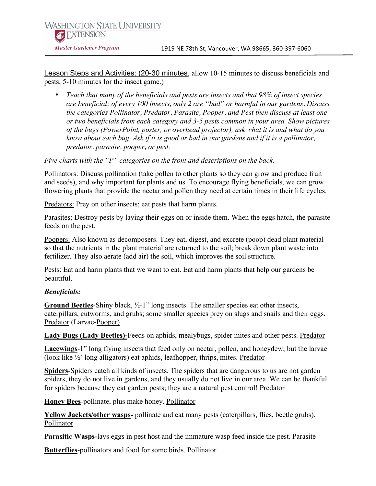Lesson Steps and Activities: (20-30 minutes, allow 10-15 minutes to discuss beneficials and pests, 5-10 minutes for the insect game.)

• *Teach that many of the beneficials and pests are insects and that 98% of insect species are beneficial: of every 100 insects, only 2 are "bad" or harmful in our gardens. Discuss the categories Pollinator, Predator, Parasite, Pooper, and Pest then discuss at least one or two beneficials from each category and 3-5 pests common in your area. Show pictures of the bugs (PowerPoint, poster, or overhead projector), ask what it is and what do you know about each bug. Ask if it is good or bad in our gardens and if it is a pollinator, predator, parasite, pooper, or pest.*

*Five charts with the "P" categories on the front and descriptions on the back.*

Pollinators: Discuss pollination (take pollen to other plants so they can grow and produce fruit and seeds), and why important for plants and us. To encourage flying beneficials, we can grow flowering plants that provide the nectar and pollen they need at certain times in their life cycles.

Predators: Prey on other insects; eat pests that harm plants.

Parasites: Destroy pests by laying their eggs on or inside them. When the eggs hatch, the parasite feeds on the pest.

Poopers: Also known as decomposers. They eat, digest, and excrete (poop) dead plant material so that the nutrients in the plant material are returned to the soil; break down plant waste into fertilizer. They also aerate (add air) the soil, which improves the soil structure.

Pests: Eat and harm plants that we want to eat. Eat and harm plants that help our gardens be beautiful.

#### *Beneficials:*

**Ground Beetles**-Shiny black, ½-1" long insects. The smaller species eat other insects, caterpillars, cutworms, and grubs; some smaller species prey on slugs and snails and their eggs. Predator (Larvae-Pooper)

**Lady Bugs (Lady Beetles)-**Feeds on aphids, mealybugs, spider mites and other pests. Predator

**Lacewings**-1" long flying insects that feed only on nectar, pollen, and honeydew; but the larvae (look like ½' long alligators) eat aphids, leafhopper, thrips, mites. Predator

**Spiders**-Spiders catch all kinds of insects. The spiders that are dangerous to us are not garden spiders, they do not live in gardens, and they usually do not live in our area. We can be thankful for spiders because they eat garden pests; they are a natural pest control! Predator

**Honey Bees**-pollinate, plus make honey. Pollinator

**Yellow Jackets/other wasps-** pollinate and eat many pests (caterpillars, flies, beetle grubs). Pollinator

**Parasitic Wasps-**lays eggs in pest host and the immature wasp feed inside the pest. Parasite

**Butterflies**-pollinators and food for some birds. Pollinator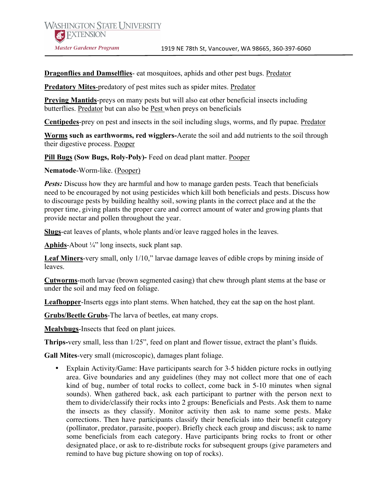**Dragonflies and Damselflies**- eat mosquitoes, aphids and other pest bugs. Predator

**Predatory Mites**-predatory of pest mites such as spider mites. Predator

**Preying Mantids**-preys on many pests but will also eat other beneficial insects including butterflies. Predator but can also be Pest when preys on beneficials

**Centipedes**-prey on pest and insects in the soil including slugs, worms, and fly pupae. Predator

**Worms such as earthworms, red wigglers-**Aerate the soil and add nutrients to the soil through their digestive process. Pooper

**Pill Bugs (Sow Bugs, Roly-Poly)-** Feed on dead plant matter. Pooper

**Nematode**-Worm-like. (Pooper)

*Pests:* Discuss how they are harmful and how to manage garden pests. Teach that beneficials need to be encouraged by not using pesticides which kill both beneficials and pests. Discuss how to discourage pests by building healthy soil, sowing plants in the correct place and at the the proper time, giving plants the proper care and correct amount of water and growing plants that provide nectar and pollen throughout the year.

**Slugs**-eat leaves of plants, whole plants and/or leave ragged holes in the leaves.

**Aphids**-About ¼" long insects, suck plant sap.

**Leaf Miners**-very small, only 1/10," larvae damage leaves of edible crops by mining inside of leaves.

**Cutworms**-moth larvae (brown segmented casing) that chew through plant stems at the base or under the soil and may feed on foliage.

**Leafhopper**-Inserts eggs into plant stems. When hatched, they eat the sap on the host plant.

**Grubs/Beetle Grubs**-The larva of beetles, eat many crops.

**Mealybugs**-Insects that feed on plant juices.

**Thrips-**very small, less than 1/25", feed on plant and flower tissue, extract the plant's fluids.

**Gall Mites**-very small (microscopic), damages plant foliage.

• Explain Activity/Game: Have participants search for 3-5 hidden picture rocks in outlying area. Give boundaries and any guidelines (they may not collect more that one of each kind of bug, number of total rocks to collect, come back in 5-10 minutes when signal sounds). When gathered back, ask each participant to partner with the person next to them to divide/classify their rocks into 2 groups: Beneficials and Pests. Ask them to name the insects as they classify. Monitor activity then ask to name some pests. Make corrections. Then have participants classify their beneficials into their benefit category (pollinator, predator, parasite, pooper). Briefly check each group and discuss; ask to name some beneficials from each category. Have participants bring rocks to front or other designated place, or ask to re-distribute rocks for subsequent groups (give parameters and remind to have bug picture showing on top of rocks).